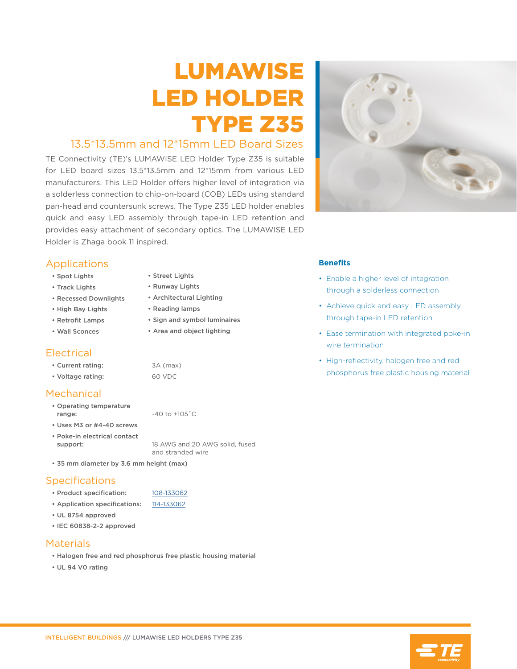# LUMAWISE LED HOLDER TYPE Z35

# 13.5\*13.5mm and 12\*15mm LED Board Sizes

TE Connectivity (TE)'s LUMAWISE LED Holder Type Z35 is suitable for LED board sizes 13.5\*13.5mm and 12\*15mm from various LED manufacturers. This LED Holder offers higher level of integration via a solderless connection to chip-on-board (COB) LEDs using standard pan-head and countersunk screws. The Type Z35 LED holder enables quick and easy LED assembly through tape-in LED retention and provides easy attachment of secondary optics. The LUMAWISE LED Holder is Zhaga book 11 inspired.

> • Street Lights • Runway Lights • Architectural Lighting • Reading lamps

• Sign and symbol luminaires • Area and object lighting

#### Applications

- Spot Lights
- Track Lights
- Recessed Downlights
- High Bay Lights
- Retrofit Lamps
- Wall Sconces

# **Electrical**

| • Current rating: | 3A (max) |
|-------------------|----------|
| • Voltage rating: | 60 VDC   |

# Mechanical

- Operating temperature range:  $-40$  to  $+105$ °C
- Uses M3 or #4-40 screws
- Poke-in electrical contact support: 18 AWG and 20 AWG solid, fused and stranded wire
- 35 mm diameter by 3.6 mm height (max)

# **Specifications**

- Product specification: [108-133062](http://www.te.com/commerce/DocumentDelivery/DDEController?Action=showdoc&DocId=Specification+Or+Standard%7F108-133062%7FB%7Fpdf%7FEnglish%7FENG_SS_108-133062_B.pdf%7F2213929-3?te_bu=int&te_type=cat&te_campaign=elq_glo_ibproductflyerlinkcampaign&elqCampaignId=11893)
- Application specifications: [114-133062](http://www.te.com/commerce/DocumentDelivery/DDEController?Action=showdoc&DocId=Specification+Or+Standard%7F114-133062%7FB2%7Fpdf%7FEnglish%7FENG_SS_114-133062_B2.pdf%7F2213929-3?te_bu=int&te_type=cat&te_campaign=elq_glo_ibproductflyerlinkcampaign&elqCampaignId=11893)
- UL 8754 approved
- IEC 60838-2-2 approved

#### **Materials**

- Halogen free and red phosphorus free plastic housing material
- UL 94 V0 rating

#### **Benefits**

- Enable a higher level of integration through a solderless connection
- Achieve quick and easy LED assembly through tape-in LED retention
- Ease termination with integrated poke-in wire termination
- High-reflectivity, halogen free and red phosphorus free plastic housing material